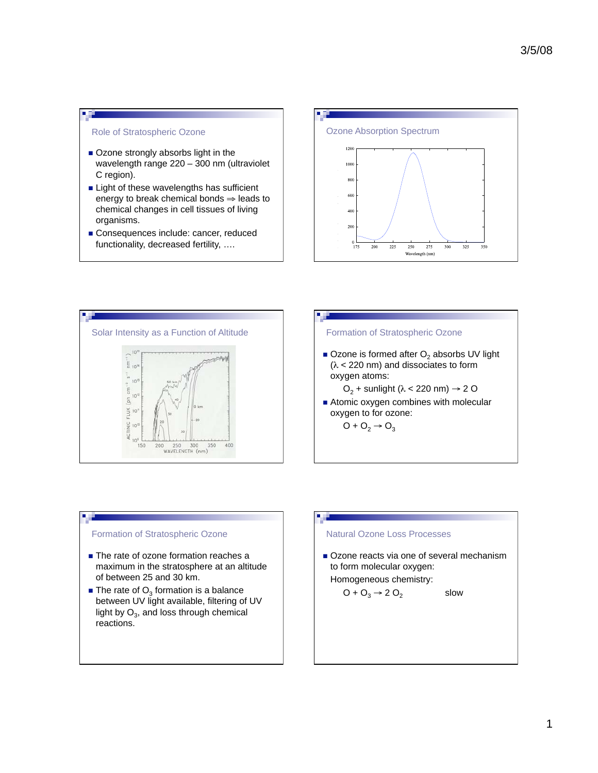#### Role of Stratospheric Ozone

- Ozone strongly absorbs light in the wavelength range 220 – 300 nm (ultraviolet C region).
- **Example 1** Light of these wavelengths has sufficient energy to break chemical bonds  $\Rightarrow$  leads to chemical changes in cell tissues of living organisms.
- Consequences include: cancer, reduced functionality, decreased fertility, ….







#### Formation of Stratospheric Ozone

- The rate of ozone formation reaches a maximum in the stratosphere at an altitude of between 25 and 30 km.
- $\blacksquare$  The rate of  $O_3$  formation is a balance between UV light available, filtering of UV light by  $O_3$ , and loss through chemical reactions.

#### Natural Ozone Loss Processes

Ozone reacts via one of several mechanism to form molecular oxygen:

slow

## Homogeneous chemistry:

$$
O + O_3 \rightarrow 2 O_2
$$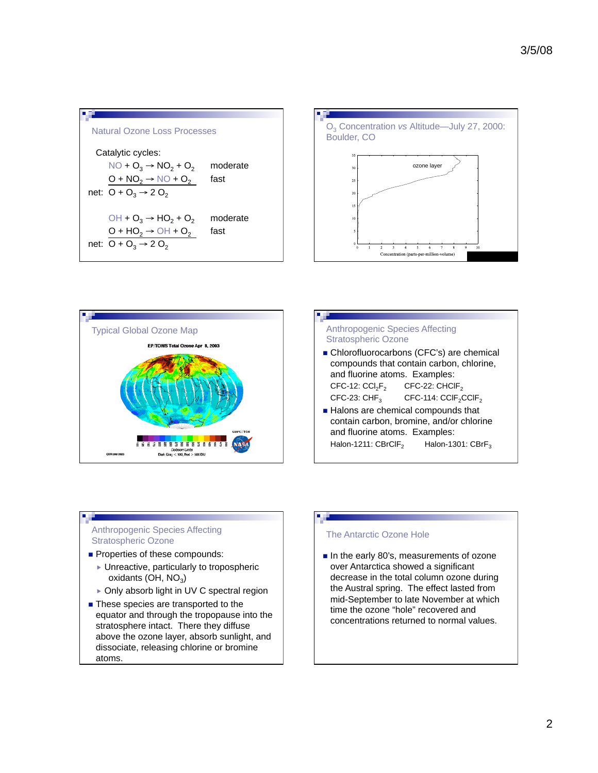







# and fluorine atoms. Examples: Halon-1211:  $CBrClF_2$  Halon-1301:  $CBrF_3$

#### Anthropogenic Species Affecting Stratospheric Ozone

- Properties of these compounds:
	- Unreactive, particularly to tropospheric oxidants (OH,  $NO<sub>3</sub>$ )
	- ▶ Only absorb light in UV C spectral region
- These species are transported to the equator and through the tropopause into the stratosphere intact. There they diffuse above the ozone layer, absorb sunlight, and dissociate, releasing chlorine or bromine atoms.

## The Antarctic Ozone Hole

 $\blacksquare$  In the early 80's, measurements of ozone over Antarctica showed a significant decrease in the total column ozone during the Austral spring. The effect lasted from mid-September to late November at which time the ozone "hole" recovered and concentrations returned to normal values.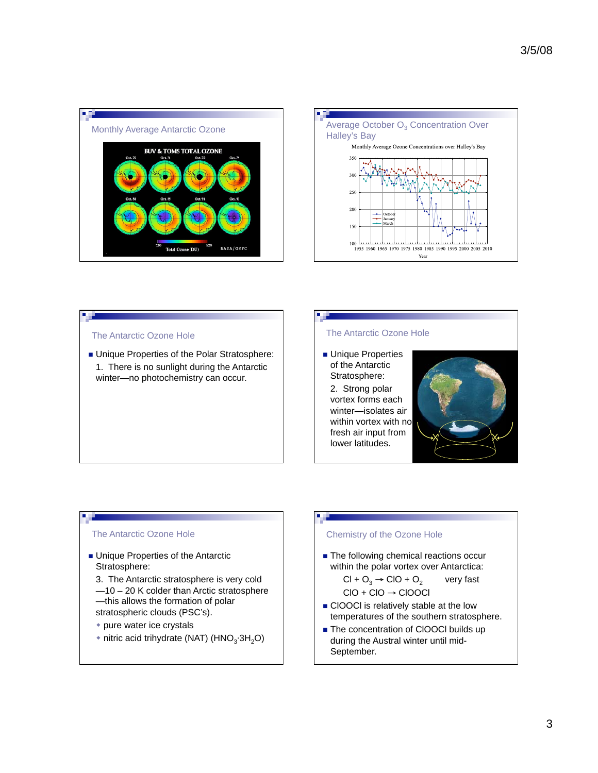



#### The Antarctic Ozone Hole

**Unique Properties of the Polar Stratosphere:**  1. There is no sunlight during the Antarctic winter—no photochemistry can occur.

#### The Antarctic Ozone Hole

п

**Unique Properties** of the Antarctic Stratosphere: 2. Strong polar vortex forms each winter—isolates air within vortex with no fresh air input from lower latitudes.



#### The Antarctic Ozone Hole

- **Unique Properties of the Antarctic** Stratosphere:
	- 3. The Antarctic stratosphere is very cold —10 – 20 K colder than Arctic stratosphere —this allows the formation of polar
	- stratospheric clouds (PSC's).
	- pure water ice crystals
	- nitric acid trihydrate (NAT) (HNO<sub>3</sub>.3H<sub>2</sub>O)

#### Chemistry of the Ozone Hole

**The following chemical reactions occur** within the polar vortex over Antarctica:

$$
CI + O3 → CIO + O2 \t very fast
$$
  

$$
CIO + CIO → CIOOCI
$$

- ClOOCl is relatively stable at the low temperatures of the southern stratosphere.
- The concentration of ClOOCl builds up during the Austral winter until mid-September.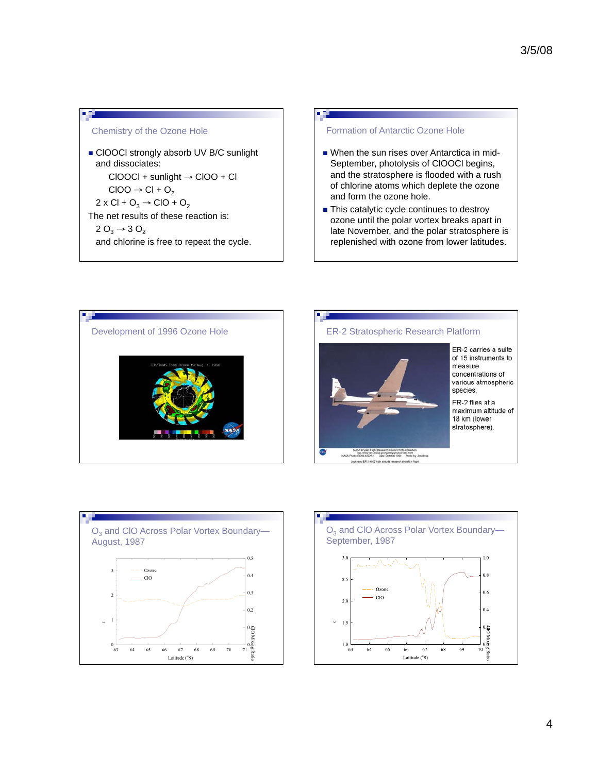### Chemistry of the Ozone Hole

ClOOCl strongly absorb UV B/C sunlight and dissociates:  $CIOOCI + sunlight \rightarrow CIOO + Cl$  $ClOO \rightarrow Cl + O_2$  $2 \times Cl + O_3 \rightarrow ClO + O_2$ The net results of these reaction is:  $2 O_3 \rightarrow 3 O_2$ and chlorine is free to repeat the cycle.

### Formation of Antarctic Ozone Hole

- When the sun rises over Antarctica in mid-September, photolysis of ClOOCl begins, and the stratosphere is flooded with a rush of chlorine atoms which deplete the ozone and form the ozone hole.
- $\blacksquare$  This catalytic cycle continues to destroy ozone until the polar vortex breaks apart in late November, and the polar stratosphere is replenished with ozone from lower latitudes.







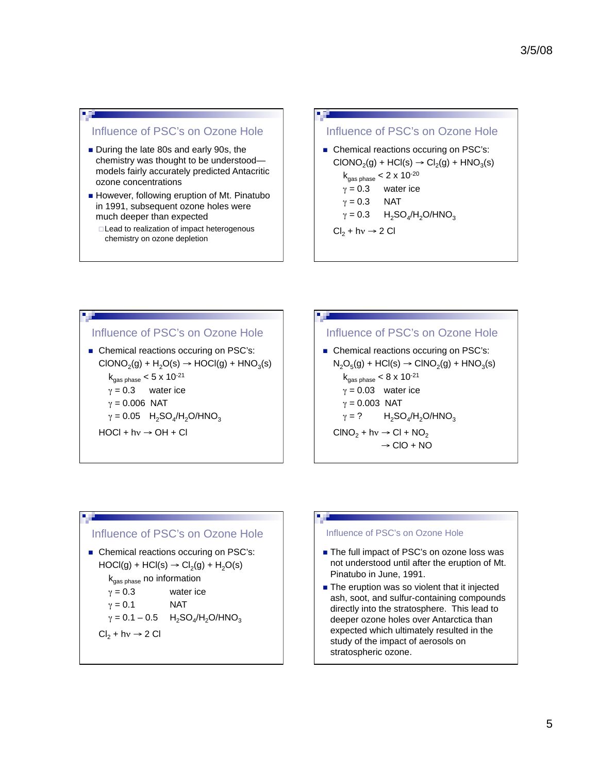# Influence of PSC's on Ozone Hole

- During the late 80s and early 90s, the chemistry was thought to be understood models fairly accurately predicted Antacritic ozone concentrations
- However, following eruption of Mt. Pinatubo in 1991, subsequent ozone holes were much deeper than expected
	- □ Lead to realization of impact heterogenous chemistry on ozone depletion

## Influence of PSC's on Ozone Hole

- Chemical reactions occuring on PSC's:  $CIONO<sub>2</sub>(g) + HCl(s) \rightarrow Cl<sub>2</sub>(g) + HNO<sub>3</sub>(s)$  $k_{gas phase} < 2 \times 10^{-20}$  $\gamma = 0.3$  water ice
- $\gamma = 0.3$  NAT

$$
\gamma = 0.3 \qquad H_2SO_4/H_2O/HNO_3
$$

 $Cl_2 + hv \rightarrow 2$  Cl

## Influence of PSC's on Ozone Hole

Chemical reactions occuring on PSC's:  $CIONO<sub>2</sub>(g) + H<sub>2</sub>O(s) \rightarrow HOCl(g) + HNO<sub>3</sub>(s)$  $k_{gas phase}$  < 5 x 10<sup>-21</sup>  $\gamma = 0.3$  water ice  $\gamma = 0.006$  NAT  $\gamma = 0.05$  H<sub>2</sub>SO<sub>4</sub>/H<sub>2</sub>O/HNO<sub>3</sub>  $HOCI + hv \rightarrow OH + Cl$ 

# Influence of PSC's on Ozone Hole ■ Chemical reactions occuring on PSC's:  $N_2O_5(g)$  + HCl(s)  $\rightarrow$  ClNO<sub>2</sub>(g) + HNO<sub>3</sub>(s)  $k_{gas phase} < 8 \times 10^{-21}$

 $\gamma = 0.03$  water ice  $\gamma = 0.003$  NAT  $\gamma = ?$  $H_2SO_4/H_2O/HNO_3$ CINO<sub>2</sub>

$$
INO2 + hv \rightarrow CI + NO2
$$
  

$$
\rightarrow CD + NO
$$

## Influence of PSC's on Ozone Hole

Chemical reactions occuring on PSC's:  $HOCI(g) + HCl(s) \rightarrow Cl<sub>2</sub>(g) + H<sub>2</sub>O(s)$ 

 $k_{gas phase}$  no information

$$
\gamma = 0.3
$$
 water ice

$$
\gamma = 0.1
$$
 NAT

$$
\gamma = 0.1 - 0.5
$$
 H<sub>2</sub>SO<sub>4</sub>/H<sub>2</sub>O/HNO<sub>3</sub>

 $Cl_2 + hv \rightarrow 2$  Cl

#### Influence of PSC's on Ozone Hole

- The full impact of PSC's on ozone loss was not understood until after the eruption of Mt. Pinatubo in June, 1991.
- The eruption was so violent that it injected ash, soot, and sulfur-containing compounds directly into the stratosphere. This lead to deeper ozone holes over Antarctica than expected which ultimately resulted in the study of the impact of aerosols on stratospheric ozone.